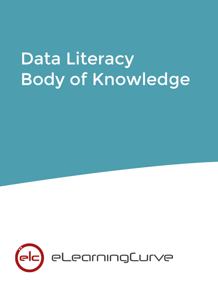# Data Literacy Body of Knowledge

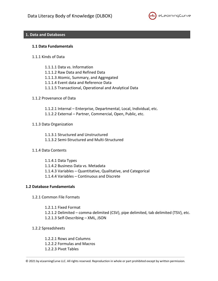

# **1. Data and Databases**

### **1.1 Data Fundamentals**

- 1.1.1 Kinds of Data
	- 1.1.1.1 Data vs. Information
	- 1.1.1.2 Raw Data and Refined Data
	- 1.1.1.3 Atomic, Summary, and Aggregated
	- 1.1.1.4 Event data and Reference Data
	- 1.1.1.5 Transactional, Operational and Analytical Data

### 1.1.2 Provenance of Data

- 1.1.2.1 Internal Enterprise, Departmental, Local, Individual, etc.
- 1.1.2.2 External Partner, Commercial, Open, Public, etc.

## 1.1.3 Data Organization

1.1.3.1 Structured and Unstructured

- 1.1.3.2 Semi-Structured and Multi-Structured
- 1.1.4 Data Contents

1.1.4.1 Data Types 1.1.4.2 Business Data vs. Metadata 1.1.4.3 Variables – Quantitative, Qualitative, and Categorical 1.1.4.4 Variables – Continuous and Discrete

## **1.2 Database Fundamentals**

1.2.1 Common File Formats

1.2.1.1 Fixed Format 1.2.1.2 Delimited – comma delimited (CSV), pipe delimited, tab delimited (TSV), etc. 1.2.1.3 Self-Describing – XML, JSON

1.2.2 Spreadsheets

1.2.2.1 Rows and Columns 1.2.2.2 Formulas and Macros 1.2.2.3 Pivot Tables

<sup>© 2021</sup> by eLearningCurve LLC. All rights reserved. Reproduction in whole or part prohibited except by written permission.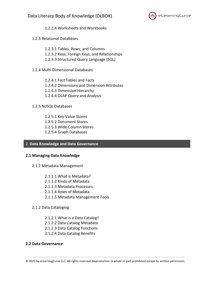

1.2.2.4 Worksheets and Workbooks

1.2.3 Relational Databases

- 1.2.3.1 Tables, Rows, and Columns 1.2.3.2 Keys, Foreign Keys, and Relationships 1.2.3.3 Structured Query Language (SQL)
- 1.2.4 Multi-Dimensional Databases
	- 1.2.4.1 Fact Tables and Facts 1.2.4.2 Dimensions and Dimension Attributes 1.2.4.3 Dimension Hierarchy 1.2.4.4 OLAP Query and Analysis
- 1.2.5 NoSQL Databases
	- 1.2.5.1 Key-Value Stores 1.2.5.2 Document Stores
	- 1.2.5.3 Wide-Column Stores
	- 1.2.5.4 Graph Databases

# 2. **Data Knowledge and Data Governance**

# **2.1 Managing Data Knowledge**

- 2.1.1 Metadata Management
	- 2.1.1.1 What is Metadata?
	- 2.1.1.2 Kinds of Metadata
	- 2.1.1.3 Metadata Processes
	- 2.1.1.4 Roles of Metadata
	- 2.1.1.5 Metadata Management Tools
- 2.1.2 Data Cataloging
	- 2.1.2.1 What is a Data Catalog?
	- 2.1.2.2 Data Catalog Metadata
	- 2.1.2.3 Data Catalog Functions
	- 2.1.2.4 Data Catalog Benefits

# **2.2 Data Governance**

<sup>© 2021</sup> by eLearningCurve LLC. All rights reserved. Reproduction in whole or part prohibited except by written permission.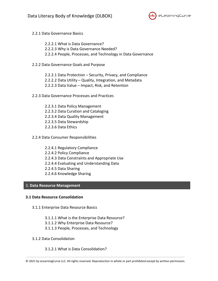

- 2.2.1 Data Governance Basics
	- 2.2.2.1 What is Data Governance?
	- 2.2.2.3 Why is Data Governance Needed?
	- 2.2.2.4 People, Processes, and Technology in Data Governance
- 2.2.2 Data Governance Goals and Purpose
	- 2.2.2.1 Data Protection Security, Privacy, and Compliance
	- 2.2.2.2 Data Utility Quality, Integration, and Metadata
	- 2.2.2.3 Data Value Impact, Risk, and Retention
- 2.2.3 Data Governance Processes and Practices
	- 2.2.3.1 Data Policy Management 2.2.3.2 Data Curation and Cataloging 2.2.3.4 Data Quality Management 2.2.3.5 Data Stewardship 2.2.3.6 Data Ethics
- 2.2.4 Data Consumer Responsibilities
	- 2.2.4.1 Regulatory Compliance 2.2.4.2 Policy Compliance 2.2.4.3 Data Constraints and Appropriate Use 2.2.4.4 Evaluating and Understanding Data 2.2.4.5 Data Sharing 2.2.4.6 Knowledge Sharing

# 3. **Data Resource Management**

# **3.1 Data Resource Consolidation**

- 3.1.1 Enterprise Data Resource Basics
	- 3.1.1.1 What is the Enterprise Data Resource?
	- 3.1.1.2 Why Enterprise Data Resource?
	- 3.1.1.3 People, Processes, and Technology
- 3.1.2 Data Consolidation

# 3.1.2.1 What is Data Consolidation?

<sup>© 2021</sup> by eLearningCurve LLC. All rights reserved. Reproduction in whole or part prohibited except by written permission.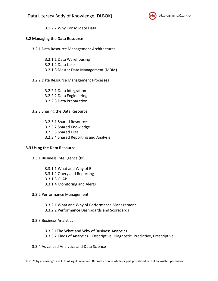

3.1.2.2 Why Consolidate Data

# **3.2 Managing the Data Resource**

- 3.2.1 Data Resource Management Architectures
	- 3.2.1.1 Data Warehousing 3.2.1.2 Data Lakes 3.2.1.3 Master Data Management (MDM)
- 3.2.2 Data Resource Management Processes
	- 3.2.2.1 Data Integration 3.2.2.2 Data Engineering 3.2.2.3 Data Preparation
- 3.2.3 Sharing the Data Resource
	- 3.2.3.1 Shared Resources 3.2.3.2 Shared Knowledge 3.2.3.3 Shared Files 3.2.3.4 Shared Reporting and Analysis

# **3.3 Using the Data Resource**

- 3.3.1 Business Intelligence (BI)
	- 3.3.1.1 What and Why of BI 3.3.1.2 Query and Reporting 3.3.1.3 OLAP 3.3.1.4 Monitoring and Alerts
- 3.3.2 Performance Management
	- 3.3.2.1 What and Why of Performance Management
	- 3.3.2.2 Performance Dashboards and Scorecards
- 3.3.3 Business Analytics
	- 3.3.3.1The What and Why of Business Analytics 3.3.3.2 Kinds of Analytics – Descriptive, Diagnostic, Predictive, Prescriptive
- 3.3.4 Advanced Analytics and Data Science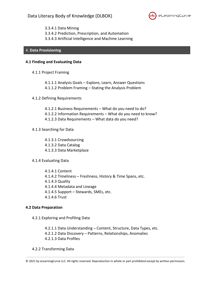

3.3.4.1 Data Mining 3.3.4.2 Prediction, Prescription, and Automation 3.3.4.3 Artificial Intelligence and Machine Learning

# 4. **Data Provisioning**

## **4.1 Finding and Evaluating Data**

4.1.1 Project Framing

4.1.1.1 Analysis Goals – Explore, Learn, Answer Questions 4.1.1.2 Problem Framing – Stating the Analysis Problem

- 4.1.2 Defining Requirements
	- 4.1.2.1 Business Requirements What do you need to do?
	- 4.1.2.2 Information Requirements What do you need to know?
	- 4.1.2.3 Data Requirements What data do you need?

## 4.1.3 Searching for Data

- 4.1.3.1 Crowdsourcing 4.1.3.2 Data Catalog 4.1.3.3 Data Marketplace
- 4.1.4 Evaluating Data

4.1.4.1 Content 4.1.4.2 Timeliness – Freshness, History & Time Spans, etc. 4.1.4.3 Quality 4.1.4.4 Metadata and Lineage 4.1.4.5 Support – Stewards, SMEs, etc. 4.1.4.6 Trust

# **4.2 Data Preparation**

4.2.1 Exploring and Profiling Data

4.2.1.1 Data Understanding – Content, Structure, Data Types, etc. 4.2.1.2 Data Discovery – Patterns, Relationships, Anomalies 4.2.1.3 Data Profiles

4.2.2 Transforming Data

<sup>© 2021</sup> by eLearningCurve LLC. All rights reserved. Reproduction in whole or part prohibited except by written permission.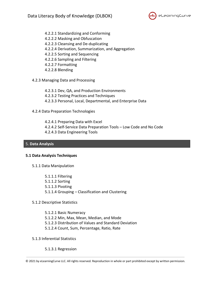

- 4.2.2.1 Standardizing and Conforming
- 4.2.2.2 Masking and Obfuscation
- 4.2.2.3 Cleansing and De-duplicating
- 4.2.2.4 Derivation, Summarization, and Aggregation
- 4.2.2.5 Sorting and Sequencing
- 4.2.2.6 Sampling and Filtering
- 4.2.2.7 Formatting
- 4.2.2.8 Blending
- 4.2.3 Managing Data and Processing
	- 4.2.3.1 Dev, QA, and Production Environments 4.2.3.2 Testing Practices and Techniques 4.2.3.3 Personal, Local, Departmental, and Enterprise Data
- 4.2.4 Data Preparation Technologies
	- 4.2.4.1 Preparing Data with Excel 4.2.4.2 Self-Service Data Preparation Tools – Low Code and No Code 4.2.4.3 Data Engineering Tools

# 5. **Data Analysis**

# **5.1 Data Analysis Techniques**

- 5.1.1 Data Manipulation
	- 5.1.1.1 Filtering 5.1.1.2 Sorting 5.1.1.3 Pivoting 5.1.1.4 Grouping – Classification and Clustering
- 5.1.2 Descriptive Statistics
	- 5.1.2.1 Basic Numeracy 5.1.2.2 Min, Max, Mean, Median, and Mode 5.1.2.3 Distribution of Values and Standard Deviation 5.1.2.4 Count, Sum, Percentage, Ratio, Rate
- 5.1.3 Inferential Statistics
	- 5.1.3.1 Regression

<sup>© 2021</sup> by eLearningCurve LLC. All rights reserved. Reproduction in whole or part prohibited except by written permission.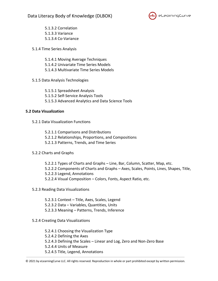

5.1.3.2 Correlation 5.1.3.3 Variance 5.1.3.4 Co-Variance

- 5.1.4 Time Series Analysis
	- 5.1.4.1 Moving Average Techniques 5.1.4.2 Univariate Time Series Models 5.1.4.3 Multivariate Time Series Models
- 5.1.5 Data Analysis Technologies
	- 5.1.5.1 Spreadsheet Analysis 5.1.5.2 Self-Service Analysis Tools 5.1.5.3 Advanced Analytics and Data Science Tools

# **5.2 Data Visualization**

- 5.2.1 Data Visualization Functions
	- 5.2.1.1 Comparisons and Distributions 5.2.1.2 Relationships, Proportions, and Compositions 5.2.1.3 Patterns, Trends, and Time Series
- 5.2.2 Charts and Graphs
	- 5.2.2.1 Types of Charts and Graphs Line, Bar, Column, Scatter, Map, etc. 5.2.2.2 Components of Charts and Graphs – Axes, Scales, Points, Lines, Shapes, Title, 5.2.2.3 Legend, Annotations 5.2.2.4 Visual Composition – Colors, Fonts, Aspect Ratio, etc.
- 5.2.3 Reading Data Visualizations
	- 5.2.3.1 Context Title, Axes, Scales, Legend 5.2.3.2 Data – Variables, Quantities, Units 5.2.3.3 Meaning – Patterns, Trends, Inference
- 5.2.4 Creating Data Visualizations
	- 5.2.4.1 Choosing the Visualization Type 5.2.4.2 Defining the Axes 5.2.4.3 Defining the Scales – Linear and Log, Zero and Non-Zero Base 5.2.4.4 Units of Measure 5.2.4.5 Title, Legend, Annotations

<sup>© 2021</sup> by eLearningCurve LLC. All rights reserved. Reproduction in whole or part prohibited except by written permission.